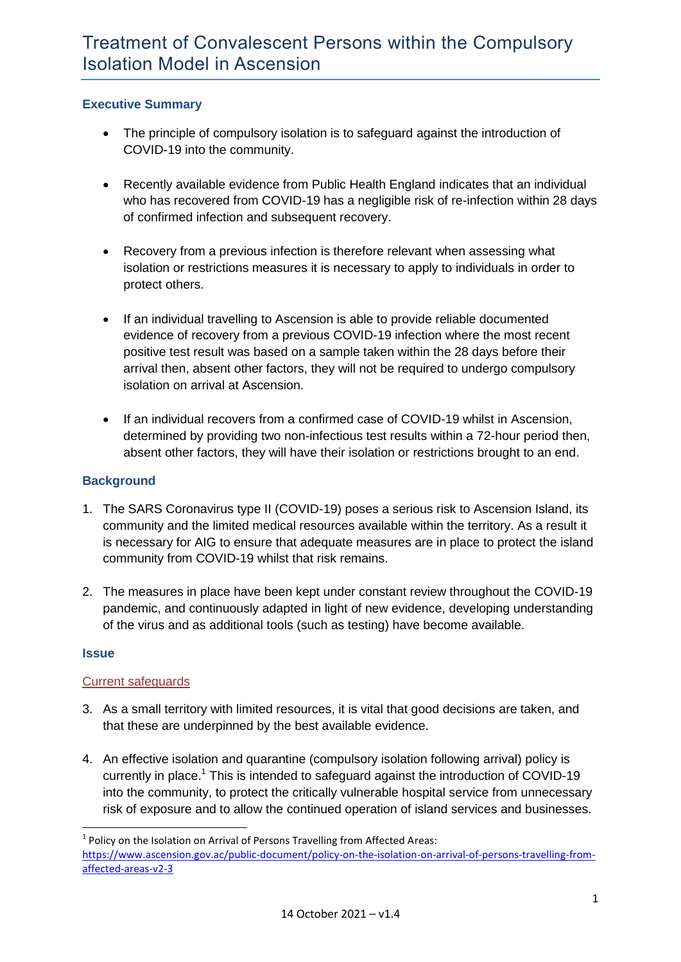# **Executive Summary**

- The principle of compulsory isolation is to safeguard against the introduction of COVID-19 into the community.
- Recently available evidence from Public Health England indicates that an individual who has recovered from COVID-19 has a negligible risk of re-infection within 28 days of confirmed infection and subsequent recovery.
- Recovery from a previous infection is therefore relevant when assessing what isolation or restrictions measures it is necessary to apply to individuals in order to protect others.
- If an individual travelling to Ascension is able to provide reliable documented evidence of recovery from a previous COVID-19 infection where the most recent positive test result was based on a sample taken within the 28 days before their arrival then, absent other factors, they will not be required to undergo compulsory isolation on arrival at Ascension.
- If an individual recovers from a confirmed case of COVID-19 whilst in Ascension, determined by providing two non-infectious test results within a 72-hour period then, absent other factors, they will have their isolation or restrictions brought to an end.

# **Background**

- 1. The SARS Coronavirus type II (COVID-19) poses a serious risk to Ascension Island, its community and the limited medical resources available within the territory. As a result it is necessary for AIG to ensure that adequate measures are in place to protect the island community from COVID-19 whilst that risk remains.
- 2. The measures in place have been kept under constant review throughout the COVID-19 pandemic, and continuously adapted in light of new evidence, developing understanding of the virus and as additional tools (such as testing) have become available.

#### **Issue**

**.** 

#### Current safeguards

- 3. As a small territory with limited resources, it is vital that good decisions are taken, and that these are underpinned by the best available evidence.
- 4. An effective isolation and quarantine (compulsory isolation following arrival) policy is currently in place.<sup>1</sup> This is intended to safeguard against the introduction of COVID-19 into the community, to protect the critically vulnerable hospital service from unnecessary risk of exposure and to allow the continued operation of island services and businesses.

 $<sup>1</sup>$  Policy on the Isolation on Arrival of Persons Travelling from Affected Areas:</sup> [https://www.ascension.gov.ac/public-document/policy-on-the-isolation-on-arrival-of-persons-travelling-from](https://www.ascension.gov.ac/public-document/policy-on-the-isolation-on-arrival-of-persons-travelling-from-affected-areas-v2-3)[affected-areas-v2-3](https://www.ascension.gov.ac/public-document/policy-on-the-isolation-on-arrival-of-persons-travelling-from-affected-areas-v2-3)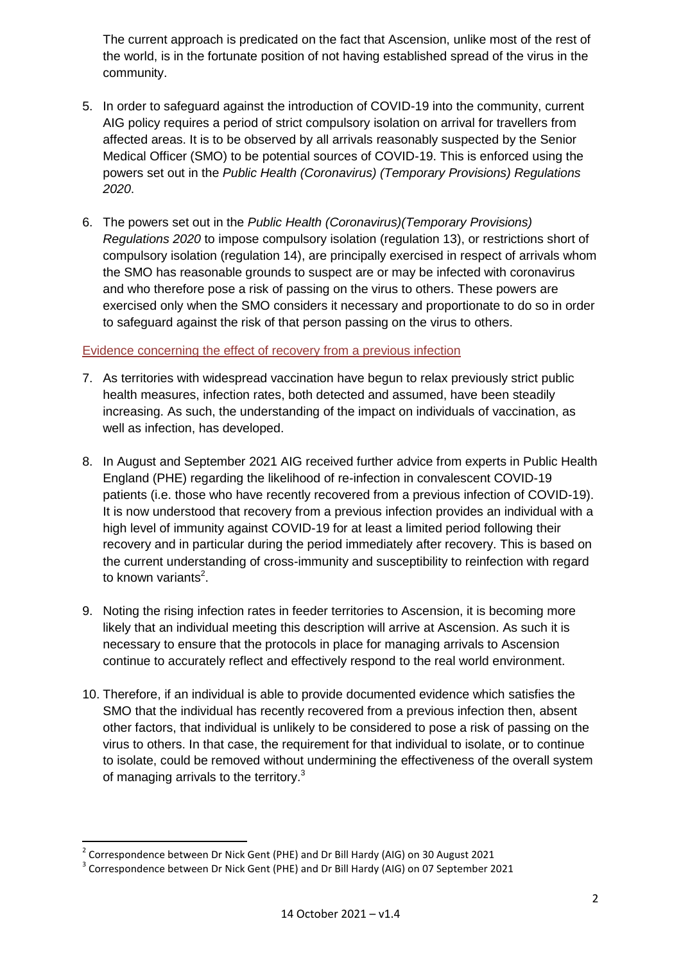The current approach is predicated on the fact that Ascension, unlike most of the rest of the world, is in the fortunate position of not having established spread of the virus in the community.

- 5. In order to safeguard against the introduction of COVID-19 into the community, current AIG policy requires a period of strict compulsory isolation on arrival for travellers from affected areas. It is to be observed by all arrivals reasonably suspected by the Senior Medical Officer (SMO) to be potential sources of COVID-19. This is enforced using the powers set out in the *Public Health (Coronavirus) (Temporary Provisions) Regulations 2020*.
- 6. The powers set out in the *Public Health (Coronavirus)(Temporary Provisions) Regulations 2020* to impose compulsory isolation (regulation 13), or restrictions short of compulsory isolation (regulation 14), are principally exercised in respect of arrivals whom the SMO has reasonable grounds to suspect are or may be infected with coronavirus and who therefore pose a risk of passing on the virus to others. These powers are exercised only when the SMO considers it necessary and proportionate to do so in order to safeguard against the risk of that person passing on the virus to others.

## Evidence concerning the effect of recovery from a previous infection

- 7. As territories with widespread vaccination have begun to relax previously strict public health measures, infection rates, both detected and assumed, have been steadily increasing. As such, the understanding of the impact on individuals of vaccination, as well as infection, has developed.
- 8. In August and September 2021 AIG received further advice from experts in Public Health England (PHE) regarding the likelihood of re-infection in convalescent COVID-19 patients (i.e. those who have recently recovered from a previous infection of COVID-19). It is now understood that recovery from a previous infection provides an individual with a high level of immunity against COVID-19 for at least a limited period following their recovery and in particular during the period immediately after recovery. This is based on the current understanding of cross-immunity and susceptibility to reinfection with regard to known variants<sup>2</sup>.
- 9. Noting the rising infection rates in feeder territories to Ascension, it is becoming more likely that an individual meeting this description will arrive at Ascension. As such it is necessary to ensure that the protocols in place for managing arrivals to Ascension continue to accurately reflect and effectively respond to the real world environment.
- 10. Therefore, if an individual is able to provide documented evidence which satisfies the SMO that the individual has recently recovered from a previous infection then, absent other factors, that individual is unlikely to be considered to pose a risk of passing on the virus to others. In that case, the requirement for that individual to isolate, or to continue to isolate, could be removed without undermining the effectiveness of the overall system of managing arrivals to the territory.<sup>3</sup>

 $\overline{\phantom{a}}$ 

 $2$  Correspondence between Dr Nick Gent (PHE) and Dr Bill Hardy (AIG) on 30 August 2021

<sup>&</sup>lt;sup>3</sup> Correspondence between Dr Nick Gent (PHE) and Dr Bill Hardy (AIG) on 07 September 2021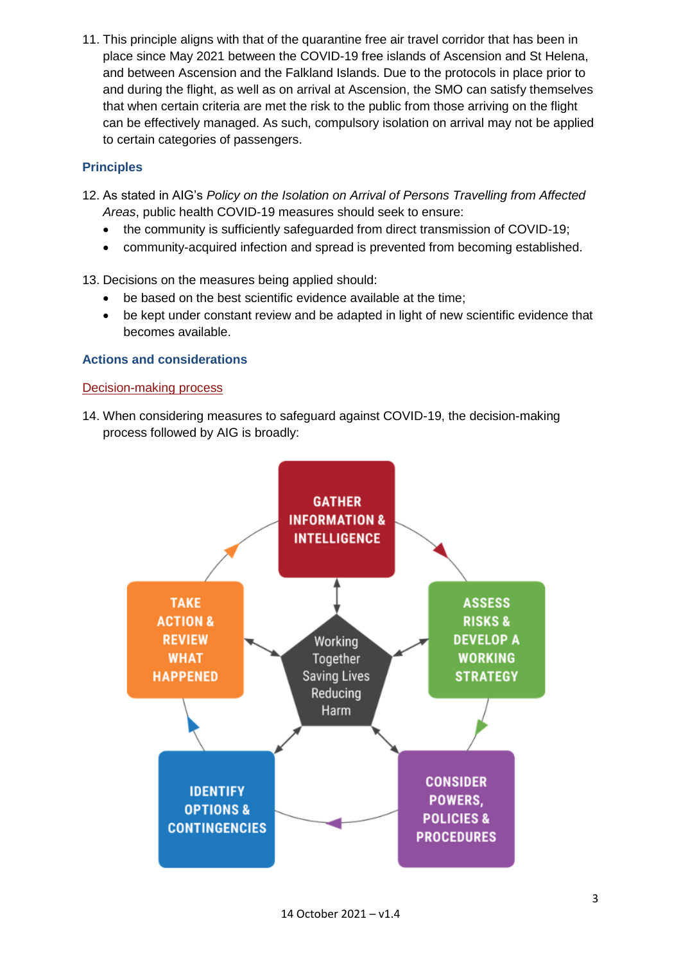11. This principle aligns with that of the quarantine free air travel corridor that has been in place since May 2021 between the COVID-19 free islands of Ascension and St Helena, and between Ascension and the Falkland Islands. Due to the protocols in place prior to and during the flight, as well as on arrival at Ascension, the SMO can satisfy themselves that when certain criteria are met the risk to the public from those arriving on the flight can be effectively managed. As such, compulsory isolation on arrival may not be applied to certain categories of passengers.

# **Principles**

- 12. As stated in AIG's *Policy on the Isolation on Arrival of Persons Travelling from Affected Areas*, public health COVID-19 measures should seek to ensure:
	- the community is sufficiently safeguarded from direct transmission of COVID-19;
	- community-acquired infection and spread is prevented from becoming established.
- 13. Decisions on the measures being applied should:
	- be based on the best scientific evidence available at the time;
	- be kept under constant review and be adapted in light of new scientific evidence that becomes available.

## **Actions and considerations**

#### Decision-making process

14. When considering measures to safeguard against COVID-19, the decision-making process followed by AIG is broadly:

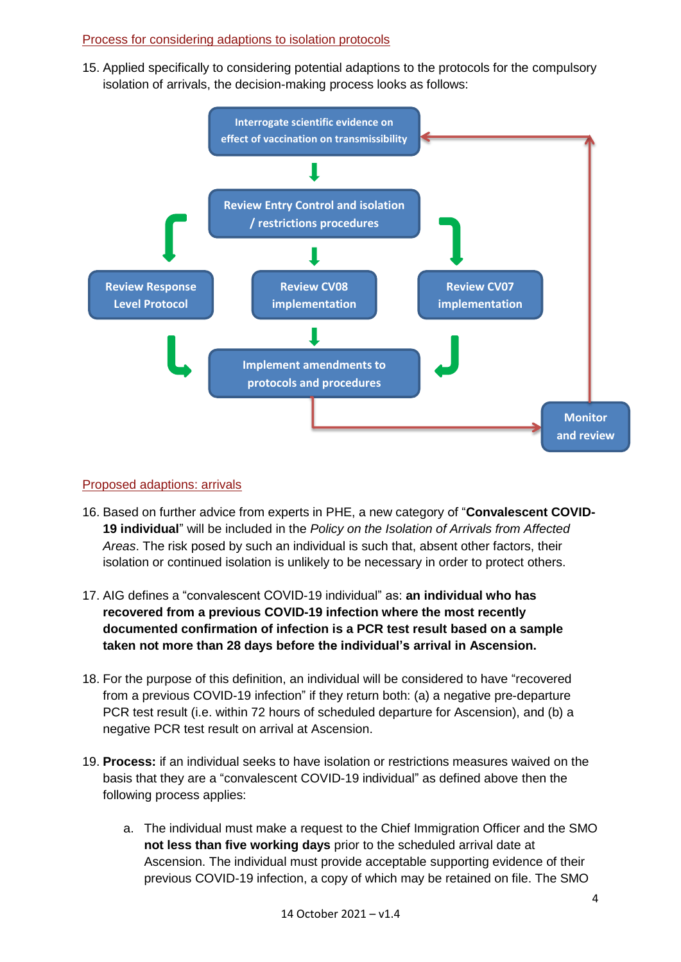# Process for considering adaptions to isolation protocols

15. Applied specifically to considering potential adaptions to the protocols for the compulsory isolation of arrivals, the decision-making process looks as follows:



#### Proposed adaptions: arrivals

- 16. Based on further advice from experts in PHE, a new category of "**Convalescent COVID-19 individual**" will be included in the *Policy on the Isolation of Arrivals from Affected Areas*. The risk posed by such an individual is such that, absent other factors, their isolation or continued isolation is unlikely to be necessary in order to protect others.
- 17. AIG defines a "convalescent COVID-19 individual" as: **an individual who has recovered from a previous COVID-19 infection where the most recently documented confirmation of infection is a PCR test result based on a sample taken not more than 28 days before the individual's arrival in Ascension.**
- 18. For the purpose of this definition, an individual will be considered to have "recovered from a previous COVID-19 infection" if they return both: (a) a negative pre-departure PCR test result (i.e. within 72 hours of scheduled departure for Ascension), and (b) a negative PCR test result on arrival at Ascension.
- 19. **Process:** if an individual seeks to have isolation or restrictions measures waived on the basis that they are a "convalescent COVID-19 individual" as defined above then the following process applies:
	- a. The individual must make a request to the Chief Immigration Officer and the SMO **not less than five working days** prior to the scheduled arrival date at Ascension. The individual must provide acceptable supporting evidence of their previous COVID-19 infection, a copy of which may be retained on file. The SMO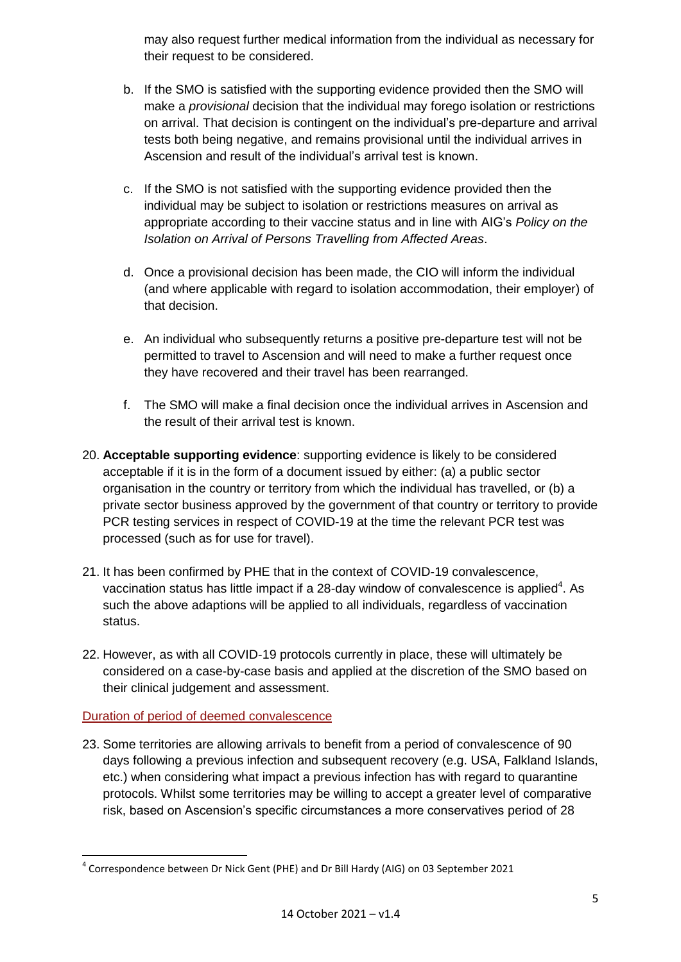may also request further medical information from the individual as necessary for their request to be considered.

- b. If the SMO is satisfied with the supporting evidence provided then the SMO will make a *provisional* decision that the individual may forego isolation or restrictions on arrival. That decision is contingent on the individual's pre-departure and arrival tests both being negative, and remains provisional until the individual arrives in Ascension and result of the individual's arrival test is known.
- c. If the SMO is not satisfied with the supporting evidence provided then the individual may be subject to isolation or restrictions measures on arrival as appropriate according to their vaccine status and in line with AIG's *Policy on the Isolation on Arrival of Persons Travelling from Affected Areas*.
- d. Once a provisional decision has been made, the CIO will inform the individual (and where applicable with regard to isolation accommodation, their employer) of that decision.
- e. An individual who subsequently returns a positive pre-departure test will not be permitted to travel to Ascension and will need to make a further request once they have recovered and their travel has been rearranged.
- f. The SMO will make a final decision once the individual arrives in Ascension and the result of their arrival test is known.
- 20. **Acceptable supporting evidence**: supporting evidence is likely to be considered acceptable if it is in the form of a document issued by either: (a) a public sector organisation in the country or territory from which the individual has travelled, or (b) a private sector business approved by the government of that country or territory to provide PCR testing services in respect of COVID-19 at the time the relevant PCR test was processed (such as for use for travel).
- 21. It has been confirmed by PHE that in the context of COVID-19 convalescence, vaccination status has little impact if a 28-day window of convalescence is applied<sup>4</sup>. As such the above adaptions will be applied to all individuals, regardless of vaccination status.
- 22. However, as with all COVID-19 protocols currently in place, these will ultimately be considered on a case-by-case basis and applied at the discretion of the SMO based on their clinical judgement and assessment.

# Duration of period of deemed convalescence

23. Some territories are allowing arrivals to benefit from a period of convalescence of 90 days following a previous infection and subsequent recovery (e.g. USA, Falkland Islands, etc.) when considering what impact a previous infection has with regard to quarantine protocols. Whilst some territories may be willing to accept a greater level of comparative risk, based on Ascension's specific circumstances a more conservatives period of 28

<sup>1</sup> <sup>4</sup> Correspondence between Dr Nick Gent (PHE) and Dr Bill Hardy (AIG) on 03 September 2021